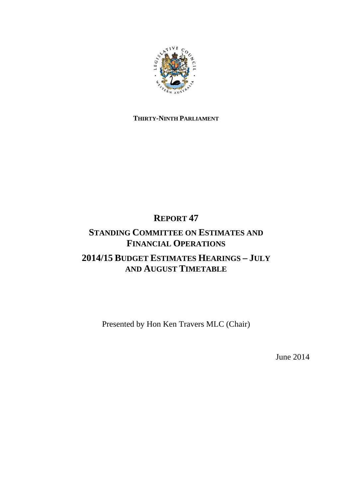

### **THIRTY-NINTH PARLIAMENT**

# **REPORT 47**

# **STANDING COMMITTEE ON ESTIMATES AND FINANCIAL OPERATIONS 2014/15 BUDGET ESTIMATES HEARINGS – JULY AND AUGUST TIMETABLE**

Presented by Hon Ken Travers MLC (Chair)

June 2014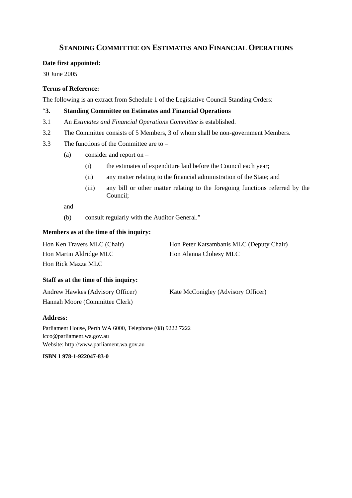### **STANDING COMMITTEE ON ESTIMATES AND FINANCIAL OPERATIONS**

#### **Date first appointed:**

30 June 2005

#### **Terms of Reference:**

The following is an extract from Schedule 1 of the Legislative Council Standing Orders:

#### "**3. Standing Committee on Estimates and Financial Operations**

- 3.1 An *Estimates and Financial Operations Committee* is established.
- 3.2 The Committee consists of 5 Members, 3 of whom shall be non-government Members.
- 3.3 The functions of the Committee are to
	- (a) consider and report on
		- (i) the estimates of expenditure laid before the Council each year;
		- (ii) any matter relating to the financial administration of the State; and
		- (iii) any bill or other matter relating to the foregoing functions referred by the Council;

and

(b) consult regularly with the Auditor General."

#### **Members as at the time of this inquiry:**

| Hon Ken Travers MLC (Chair) | Hon Peter Katsambanis MLC (Deputy Chair) |
|-----------------------------|------------------------------------------|
| Hon Martin Aldridge MLC     | Hon Alanna Clohesy MLC                   |
| Hon Rick Mazza MLC          |                                          |

#### **Staff as at the time of this inquiry:**

| Andrew Hawkes (Advisory Officer) | Kate McConigley (Advisory Officer) |
|----------------------------------|------------------------------------|
| Hannah Moore (Committee Clerk)   |                                    |

#### **Address:**

Parliament House, Perth WA 6000, Telephone (08) 9222 7222 lcco@parliament.wa.gov.au Website: http://www.parliament.wa.gov.au

**ISBN 1 978-1-922047-83-0**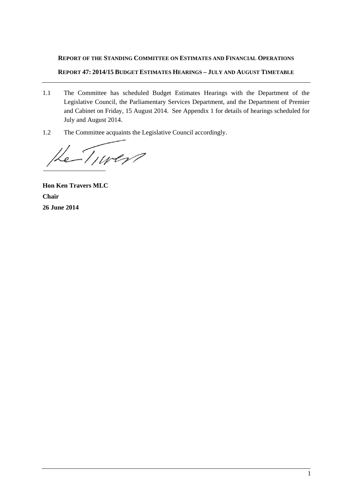**REPORT OF THE STANDING COMMITTEE ON ESTIMATES AND FINANCIAL OPERATIONS REPORT 47: 2014/15 BUDGET ESTIMATES HEARINGS – JULY AND AUGUST TIMETABLE**

- 1.1 The Committee has scheduled Budget Estimates Hearings with the Department of the Legislative Council, the Parliamentary Services Department, and the Department of Premier and Cabinet on Friday, 15 August 2014. See Appendix 1 for details of hearings scheduled for July and August 2014.
- 1.2 The Committee acquaints the Legislative Council accordingly.

Le Tiver

**Hon Ken Travers MLC Chair 26 June 2014**